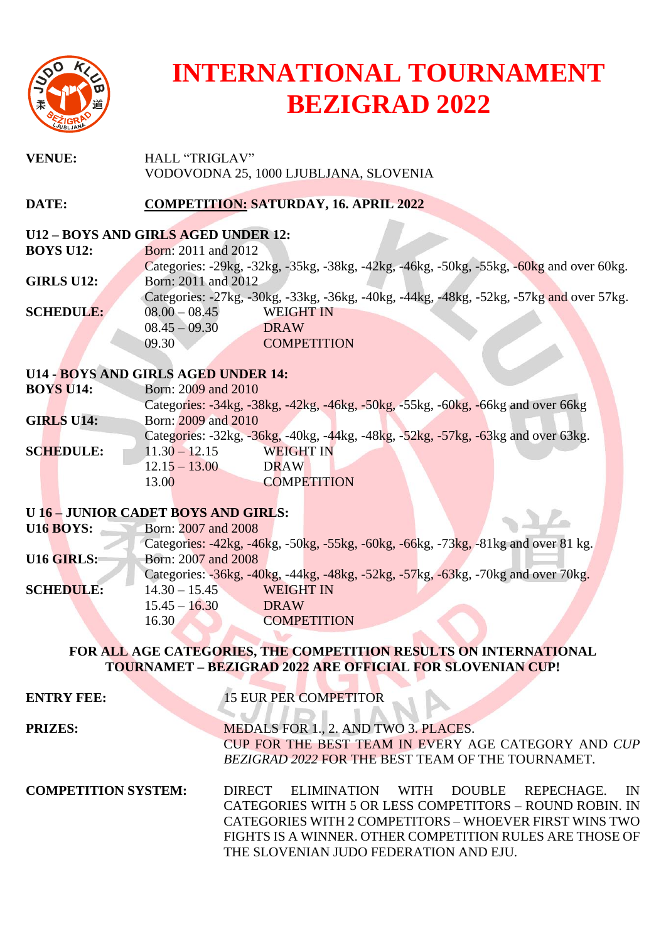

## **INTERNATIONAL TOURNAMENT BEZIGRAD 2022**

| <b>VENUE:</b>                       | <b>HALL "TRIGLAV"</b><br>VODOVODNA 25, 1000 LJUBLJANA, SLOVENIA                          |  |  |  |
|-------------------------------------|------------------------------------------------------------------------------------------|--|--|--|
| DATE:                               | <b>COMPETITION: SATURDAY, 16. APRIL 2022</b>                                             |  |  |  |
| U12 - BOYS AND GIRLS AGED UNDER 12: |                                                                                          |  |  |  |
| <b>BOYS U12:</b>                    | Born: 2011 and 2012                                                                      |  |  |  |
|                                     | Categories: -29kg, -32kg, -35kg, -38kg, -42kg, -46kg, -50kg, -55kg, -60kg and over 60kg. |  |  |  |
| <b>GIRLS U12:</b>                   | Born: 2011 and 2012                                                                      |  |  |  |
|                                     | Categories: -27kg, -30kg, -33kg, -36kg, -40kg, -44kg, -48kg, -52kg, -57kg and over 57kg. |  |  |  |
| <b>SCHEDULE:</b>                    | $08.00 - 08.45$<br><b>WEIGHT IN</b>                                                      |  |  |  |
|                                     | $08.45 - 09.30$<br><b>DRAW</b>                                                           |  |  |  |
|                                     | 09.30<br><b>COMPETITION</b>                                                              |  |  |  |
|                                     |                                                                                          |  |  |  |
|                                     | <b>U14 - BOYS AND GIRLS AGED UNDER 14:</b>                                               |  |  |  |
| <b>BOYS U14:</b>                    | Born: 2009 and 2010                                                                      |  |  |  |
|                                     | Categories: -34kg, -38kg, -42kg, -46kg, -50kg, -55kg, -60kg, -66kg and over 66kg         |  |  |  |
| <b>GIRLS U14:</b>                   | Born: 2009 and 2010                                                                      |  |  |  |
|                                     | Categories: -32kg, -36kg, -40kg, -44kg, -48kg, -52kg, -57kg, -63kg and over 63kg.        |  |  |  |
| <b>SCHEDULE:</b>                    | <b>WEIGHT IN</b><br>$11.30 - 12.15$                                                      |  |  |  |
|                                     | $12.15 - 13.00$<br><b>DRAW</b>                                                           |  |  |  |
|                                     | 13.00<br><b>COMPETITION</b>                                                              |  |  |  |

## **U 16 – JUNIOR CADET BOYS AND GIRLS:**

|                   | U 16 - JUNIOR CADET BOYS AND GIRLS:                                                |
|-------------------|------------------------------------------------------------------------------------|
| <b>U16 BOYS:</b>  | Born: 2007 and 2008                                                                |
|                   | Categories: -42kg, -46kg, -50kg, -55kg, -60kg, -66kg, -73kg, -81kg and over 81 kg. |
| <b>U16 GIRLS:</b> | Born: 2007 and 2008                                                                |
|                   | Categories: -36kg, -40kg, -44kg, -48kg, -52kg, -57kg, -63kg, -70kg and over 70kg.  |
| <b>SCHEDULE:</b>  | $14.30 - 15.45$<br><b>WEIGHT IN</b>                                                |
|                   | $15.45 - 16.30$<br><b>DRAW</b>                                                     |
|                   | <b>COMPETITION</b><br>16.30                                                        |
|                   |                                                                                    |

## **FOR ALL AGE CATEGORIES, THE COMPETITION RESULTS ON INTERNATIONAL TOURNAMET – BEZIGRAD 2022 ARE OFFICIAL FOR SLOVENIAN CUP!**

<u> Err</u>

| <b>ENTRY FEE:</b>          | <b>15 EUR PER COMPETITOR</b>                                                                                                                                                                                                                                                          |
|----------------------------|---------------------------------------------------------------------------------------------------------------------------------------------------------------------------------------------------------------------------------------------------------------------------------------|
| <b>PRIZES:</b>             | MEDALS FOR 1., 2. AND TWO 3. PLACES.<br>CUP FOR THE BEST TEAM IN EVERY AGE CATEGORY AND CUP<br>BEZIGRAD 2022 FOR THE BEST TEAM OF THE TOURNAMET.                                                                                                                                      |
| <b>COMPETITION SYSTEM:</b> | ELIMINATION WITH DOUBLE REPECHAGE.<br>IN.<br><b>DIRECT</b><br>CATEGORIES WITH 5 OR LESS COMPETITORS - ROUND ROBIN. IN<br>CATEGORIES WITH 2 COMPETITORS - WHOEVER FIRST WINS TWO<br>FIGHTS IS A WINNER. OTHER COMPETITION RULES ARE THOSE OF<br>THE SLOVENIAN JUDO FEDERATION AND EJU. |